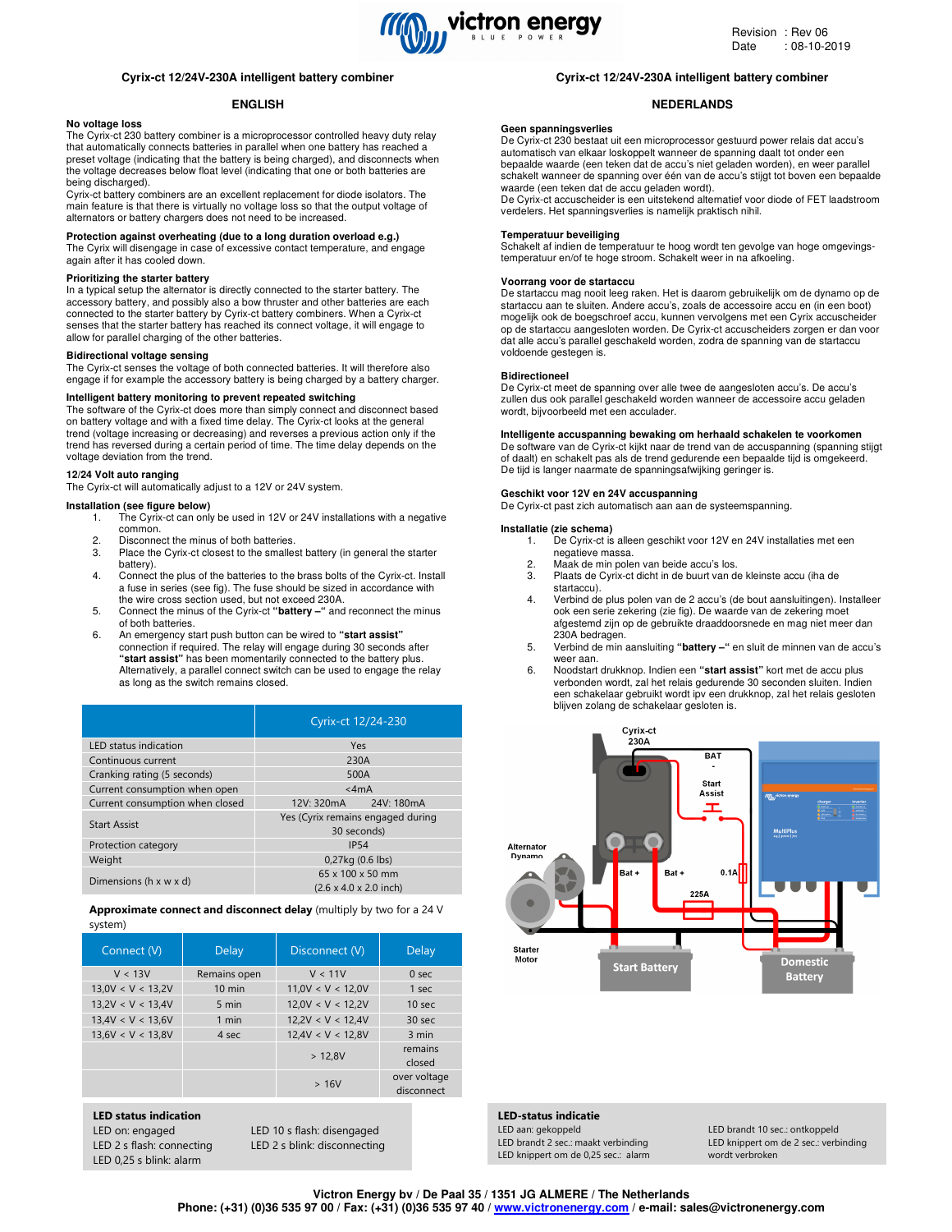

# **Cyrix-ct 12/24V-230A intelligent battery combiner**

# **ENGLISH**

# **No voltage loss**

The Cyrix-ct 230 battery combiner is a microprocessor controlled heavy duty relay that automatically connects batteries in parallel when one battery has reached a preset voltage (indicating that the battery is being charged), and disconnects when the voltage decreases below float level (indicating that one or both batteries are being discharged).

Cyrix-ct battery combiners are an excellent replacement for diode isolators. The main feature is that there is virtually no voltage loss so that the output voltage of alternators or battery chargers does not need to be increased.

#### **Protection against overheating (due to a long duration overload e.g.)**

The Cyrix will disengage in case of excessive contact temperature, and engage again after it has cooled down.

# **Prioritizing the starter battery**

In a typical setup the alternator is directly connected to the starter battery. The accessory battery, and possibly also a bow thruster and other batteries are each connected to the starter battery by Cyrix-ct battery combiners. When a Cyrix-ct senses that the starter battery has reached its connect voltage, it will engage to allow for parallel charging of the other batteries.

#### **Bidirectional voltage sensing**

The Cyrix-ct senses the voltage of both connected batteries. It will therefore also engage if for example the accessory battery is being charged by a battery charger.

# **Intelligent battery monitoring to prevent repeated switching**

The software of the Cyrix-ct does more than simply connect and disconnect based on battery voltage and with a fixed time delay. The Cyrix-ct looks at the general trend (voltage increasing or decreasing) and reverses a previous action only if the trend has reversed during a certain period of time. The time delay depends on the voltage deviation from the trend.

# **12/24 Volt auto ranging**

The Cyrix-ct will automatically adjust to a 12V or 24V system.

### **Installation (see figure below)**

- 1. The Cyrix-ct can only be used in 12V or 24V installations with a negative common.
- 2. Disconnect the minus of both batteries.<br>3. Place the Cyrix-ct closest to the smalle
- Place the Cyrix-ct closest to the smallest battery (in general the starter battery).
- 4. Connect the plus of the batteries to the brass bolts of the Cyrix-ct. Install a fuse in series (see fig). The fuse should be sized in accordance with the wire cross section used, but not exceed 230A.
- 5. Connect the minus of the Cyrix-ct **"battery –"** and reconnect the minus of both batteries.
- 6. An emergency start push button can be wired to **"start assist"** connection if required. The relay will engage during 30 seconds after **"start assist"** has been momentarily connected to the battery plus. Alternatively, a parallel connect switch can be used to engage the relay as long as the switch remains closed.

|                                      | Cyrix-ct 12/24-230                                                         |  |
|--------------------------------------|----------------------------------------------------------------------------|--|
| <b>LED</b> status indication         | Yes                                                                        |  |
| Continuous current                   | 230A                                                                       |  |
| Cranking rating (5 seconds)          | 500A                                                                       |  |
| Current consumption when open        | $<$ 4 $mA$                                                                 |  |
| Current consumption when closed      | 12V: 320mA 24V: 180mA                                                      |  |
| <b>Start Assist</b>                  | Yes (Cyrix remains engaged during<br>30 seconds)                           |  |
| Protection category                  | IP <sub>54</sub>                                                           |  |
| Weight                               | $0.27$ kg $(0.6$ lbs)                                                      |  |
| Dimensions ( $h \times w \times d$ ) | $65 \times 100 \times 50$ mm<br>$(2.6 \times 4.0 \times 2.0 \text{ inch})$ |  |

Approximate connect and disconnect delay (multiply by two for a 24 V system)

| Connect (V)       | Delay            | Disconnect (V)    | Delay                      |
|-------------------|------------------|-------------------|----------------------------|
| V < 13V           | Remains open     | V < 11V           | 0 <sub>sec</sub>           |
| 13,0V < V < 13,2V | $10 \text{ min}$ | 11,0V < V < 12,0V | 1 sec                      |
| 13,2V < V < 13,4V | 5 min            | 12,0V < V < 12,2V | 10 <sub>sec</sub>          |
| 13.4V < V < 13.6V | 1 min            | 12,2V < V < 12,4V | 30 <sub>sec</sub>          |
| 13,6V < V < 13,8V | 4 sec            | 12,4V < V < 12,8V | 3 min                      |
|                   |                  | > 12.8V           | remains<br>closed          |
|                   |                  | >16V              | over voltage<br>disconnect |

#### LED status indication

LED on: engaged LED 10 s flash: disengaged LED 2 s flash: connecting LED 2 s blink: disconnecting LED 0,25 s blink: alarm

# **Cyrix-ct 12/24V-230A intelligent battery combiner**

# **NEDERLANDS**

### **Geen spanningsverlies**

De Cyrix-ct 230 bestaat uit een microprocessor gestuurd power relais dat accu's automatisch van elkaar loskoppelt wanneer de spanning daalt tot onder een bepaalde waarde (een teken dat de accu's niet geladen worden), en weer parallel schakelt wanneer de spanning over één van de accu's stijgt tot boven een bepaalde waarde (een teken dat de accu geladen wordt).

De Cyrix-ct accuscheider is een uitstekend alternatief voor diode of FET laadstroom verdelers. Het spanningsverlies is namelijk praktisch nihil.

#### **Temperatuur beveiliging**

Schakelt af indien de temperatuur te hoog wordt ten gevolge van hoge omgevingstemperatuur en/of te hoge stroom. Schakelt weer in na afkoeling.

#### **Voorrang voor de startaccu**

De startaccu mag nooit leeg raken. Het is daarom gebruikelijk om de dynamo op de startaccu aan te sluiten. Andere accu's, zoals de accessoire accu en (in een boot) mogelijk ook de boegschroef accu, kunnen vervolgens met een Cyrix accuscheider op de startaccu aangesloten worden. De Cyrix-ct accuscheiders zorgen er dan voor dat alle accu's parallel geschakeld worden, zodra de spanning van de startaccu voldoende gestegen is.

#### **Bidirectioneel**

De Cyrix-ct meet de spanning over alle twee de aangesloten accu's. De accu's zullen dus ook parallel geschakeld worden wanneer de accessoire accu geladen wordt, bijvoorbeeld met een acculader.

**Intelligente accuspanning bewaking om herhaald schakelen te voorkomen**  De software van de Cyrix-ct kijkt naar de trend van de accuspanning (spanning stijgt of daalt) en schakelt pas als de trend gedurende een bepaalde tijd is omgekeerd. De tijd is langer naarmate de spanningsafwijking geringer is.

#### **Geschikt voor 12V en 24V accuspanning**

De Cyrix-ct past zich automatisch aan aan de systeemspanning.

#### **Installatie (zie schema)**

- 1. De Cyrix-ct is alleen geschikt voor 12V en 24V installaties met een negatieve massa.
- 2. Maak de min polen van beide accu's los.
- 3. Plaats de Cyrix-ct dicht in de buurt van de kleinste accu (iha de startaccu).
- 4. Verbind de plus polen van de 2 accu's (de bout aansluitingen). Installeer ook een serie zekering (zie fig). De waarde van de zekering moet afgestemd zijn op de gebruikte draaddoorsnede en mag niet meer dan 230A bedragen.
- 5. Verbind de min aansluiting **"battery –"** en sluit de minnen van de accu's weer aan.
- 6. Noodstart drukknop. Indien een **"start assist"** kort met de accu plus verbonden wordt, zal het relais gedurende 30 seconden sluiten. Indien een schakelaar gebruikt wordt ipv een drukknop, zal het relais gesloten blijven zolang de schakelaar gesloten is.



# LED-status indicatie<br>LED aan: gekoppeld

LED knippert om de 0,25 sec.: alarm wordt verbroken

LED brandt 10 sec.: ontkoppeld LED brandt 2 sec.: maakt verbinding LED knippert om de 2 sec.: verbinding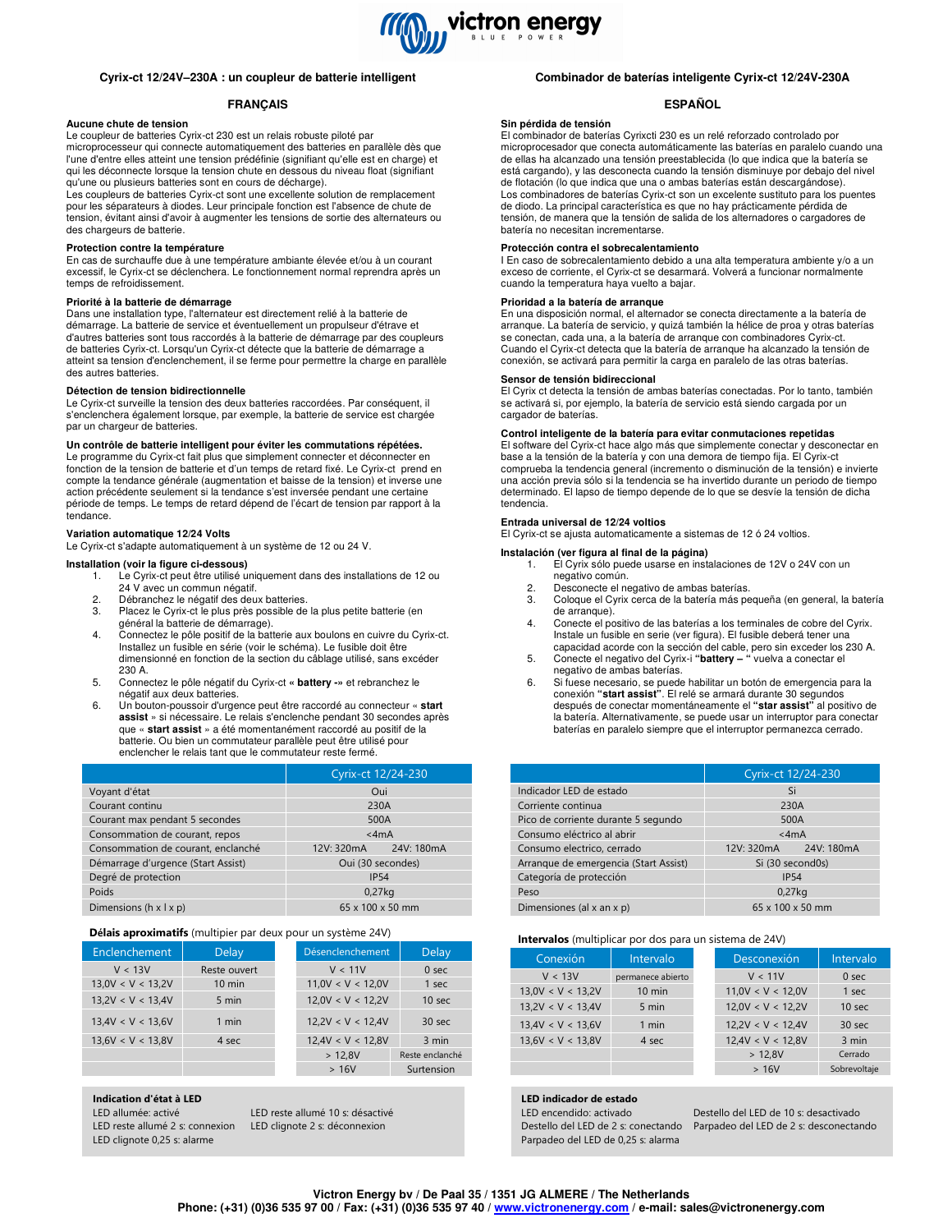

# **Cyrix-ct 12/24V–230A : un coupleur de batterie intelligent**

# **FRANÇAIS**

# **Aucune chute de tension**

Le coupleur de batteries Cyrix-ct 230 est un relais robuste piloté par microprocesseur qui connecte automatiquement des batteries en parallèle dès que l'une d'entre elles atteint une tension prédéfinie (signifiant qu'elle est en charge) et qui les déconnecte lorsque la tension chute en dessous du niveau float (signifiant qu'une ou plusieurs batteries sont en cours de décharge).

Les coupleurs de batteries Cyrix-ct sont une excellente solution de remplacement pour les séparateurs à diodes. Leur principale fonction est l'absence de chute de tension, évitant ainsi d'avoir à augmenter les tensions de sortie des alternateurs ou des chargeurs de batterie.

#### **Protection contre la température**

En cas de surchauffe due à une température ambiante élevée et/ou à un courant excessif, le Cyrix-ct se déclenchera. Le fonctionnement normal reprendra après un temps de refroidissement.

### **Priorité à la batterie de démarrage**

Dans une installation type, l'alternateur est directement relié à la batterie de démarrage. La batterie de service et éventuellement un propulseur d'étrave et d'autres batteries sont tous raccordés à la batterie de démarrage par des coupleurs de batteries Cyrix-ct. Lorsqu'un Cyrix-ct détecte que la batterie de démarrage a atteint sa tension d'enclenchement, il se ferme pour permettre la charge en parallèle des autres batteries.

#### **Détection de tension bidirectionnelle**

Le Cyrix-ct surveille la tension des deux batteries raccordées. Par conséquent, il s'enclenchera également lorsque, par exemple, la batterie de service est chargée par un chargeur de batteries.

#### **Un contrôle de batterie intelligent pour éviter les commutations répétées.**

Le programme du Cyrix-ct fait plus que simplement connecter et déconnecter en fonction de la tension de batterie et d'un temps de retard fixé. Le Cyrix-ct prend en compte la tendance générale (augmentation et baisse de la tension) et inverse une action précédente seulement si la tendance s'est inversée pendant une certaine période de temps. Le temps de retard dépend de l'écart de tension par rapport à la tendance.

#### **Variation automatique 12/24 Volts**

Le Cyrix-ct s'adapte automatiquement à un système de 12 ou 24 V.

#### **Installation (voir la figure ci-dessous)**

- 1. Le Cyrix-ct peut être utilisé uniquement dans des installations de 12 ou 24 V avec un commun négatif.
- 2. Débranchez le négatif des deux batteries.<br>3. Placez le Cyrix-ct le plus près possible de
- Placez le Cyrix-ct le plus près possible de la plus petite batterie (en général la batterie de démarrage).
- 4. Connectez le pôle positif de la batterie aux boulons en cuivre du Cyrix-ct. Installez un fusible en série (voir le schéma). Le fusible doit être dimensionné en fonction de la section du câblage utilisé, sans excéder 230 A.
- 5. Connectez le pôle négatif du Cyrix-ct **« battery -»** et rebranchez le négatif aux deux batteries.
- 6. Un bouton-poussoir d'urgence peut être raccordé au connecteur « **start assist** » si nécessaire. Le relais s'enclenche pendant 30 secondes après que « **start assist** » a été momentanément raccordé au positif de la batterie. Ou bien un commutateur parallèle peut être utilisé pour enclencher le relais tant que le commutateur reste fermé.

|                                      | Cyrix-ct 12/24-230           |  |
|--------------------------------------|------------------------------|--|
| Voyant d'état                        | Oui                          |  |
| Courant continu                      | 230A                         |  |
| Courant max pendant 5 secondes       | 500A                         |  |
| Consommation de courant, repos       | $<$ 4mA                      |  |
| Consommation de courant, enclanché   | 12V: 320mA<br>24V: 180mA     |  |
| Démarrage d'urgence (Start Assist)   | Oui (30 secondes)            |  |
| Degré de protection                  | <b>IP54</b>                  |  |
| Poids                                | $0.27$ kg                    |  |
| Dimensions ( $h \times l \times p$ ) | $65 \times 100 \times 50$ mm |  |

# Délais aproximatifs (multipier par deux pour un système 24V)

| Enclenchement     | <b>Delay</b>     | Désenclenchement  | <b>Delay</b>      |
|-------------------|------------------|-------------------|-------------------|
| V < 13V           | Reste ouvert     | V < 11V           | 0 <sub>sec</sub>  |
| 13,0V < V < 13,2V | $10 \text{ min}$ | 11,0V < V < 12,0V | 1 sec             |
| 13,2V < V < 13,4V | 5 min            | 12,0V < V < 12,2V | 10 <sub>sec</sub> |
| 13,4V < V < 13,6V | 1 min            | 12.2V < V < 12.4V | 30 sec            |
| 13,6V < V < 13,8V | 4 sec            | 12,4V < V < 12,8V | 3 min             |
|                   |                  | > 12,8V           | Reste enclanché   |
|                   |                  | >16V              | Surtension        |

Indication d'état à LED

LED clignote 0,25 s: alarme

LED allumée: activé LED reste allumé 10 s: désactivé LED reste allumé 2 s: connexion LED clignote 2 s: déconnexion

# **Combinador de baterías inteligente Cyrix-ct 12/24V-230A**

### **ESPAÑOL**

#### **Sin pérdida de tensión**

El combinador de baterías Cyrixcti 230 es un relé reforzado controlado por microprocesador que conecta automáticamente las baterías en paralelo cuando una de ellas ha alcanzado una tensión preestablecida (lo que indica que la batería se está cargando), y las desconecta cuando la tensión disminuye por debajo del nivel de flotación (lo que indica que una o ambas baterías están descargándose). Los combinadores de baterías Cyrix-ct son un excelente sustituto para los puentes de diodo. La principal característica es que no hay prácticamente pérdida de tensión, de manera que la tensión de salida de los alternadores o cargadores de batería no necesitan incrementarse.

**Protección contra el sobrecalentamiento**  I En caso de sobrecalentamiento debido a una alta temperatura ambiente y/o a un exceso de corriente, el Cyrix-ct se desarmará. Volverá a funcionar normalmente cuando la temperatura haya vuelto a bajar.

#### **Prioridad a la batería de arranque**

En una disposición normal, el alternador se conecta directamente a la batería de arranque. La batería de servicio, y quizá también la hélice de proa y otras baterías se conectan, cada una, a la batería de arranque con combinadores Cyrix-ct. Cuando el Cyrix-ct detecta que la batería de arranque ha alcanzado la tensión de conexión, se activará para permitir la carga en paralelo de las otras baterías.

# **Sensor de tensión bidireccional**

El Cyrix ct detecta la tensión de ambas baterías conectadas. Por lo tanto, también se activará si, por ejemplo, la batería de servicio está siendo cargada por un cargador de baterías.

#### **Control inteligente de la batería para evitar conmutaciones repetidas**

El software del Cyrix-ct hace algo más que simplemente conectar y desconectar en base a la tensión de la batería y con una demora de tiempo fija. El Cyrix-ct comprueba la tendencia general (incremento o disminución de la tensión) e invierte una acción previa sólo si la tendencia se ha invertido durante un periodo de tiempo determinado. El lapso de tiempo depende de lo que se desvíe la tensión de dicha tendencia.

#### El Cyrix-ct se ajusta automaticamente a sistemas de 12 ó 24 voltios.

**Entrada universal de 12/24 voltios** 

**Instalación (ver figura al final de la página)** 

- 1. El Cyrix sólo puede usarse en instalaciones de 12V o 24V con un negativo común.
- 2. Desconecte el negativo de ambas baterías.<br>3. Cologue el Cyrix cerca de la batería más po
- Coloque el Cyrix cerca de la batería más pequeña (en general, la batería de arranque).
- 4. Conecte el positivo de las baterías a los terminales de cobre del Cyrix. Instale un fusible en serie (ver figura). El fusible deberá tener una capacidad acorde con la sección del cable, pero sin exceder los 230 A.
- 5. Conecte el negativo del Cyrix-i **"battery "** vuelva a conectar el negativo de ambas baterías.
- 6. Si fuese necesario, se puede habilitar un botón de emergencia para la conexión **"start assist"**. El relé se armará durante 30 segundos después de conectar momentáneamente el **"star assist"** al positivo de la batería. Alternativamente, se puede usar un interruptor para conectar baterías en paralelo siempre que el interruptor permanezca cerrado.

|                                       | Cyrix-ct 12/24-230           |  |
|---------------------------------------|------------------------------|--|
| Indicador LED de estado               | Si                           |  |
| Corriente continua                    | 230A                         |  |
| Pico de corriente durante 5 segundo   | 500A                         |  |
| Consumo eléctrico al abrir            | $<$ 4mA                      |  |
| Consumo electrico, cerrado            | 12V: 320mA 24V: 180mA        |  |
| Arrangue de emergencia (Start Assist) | Si (30 second0s)             |  |
| Categoría de protección               | <b>IP54</b>                  |  |
| Peso                                  | 0.27kg                       |  |
| Dimensiones (al x an x p)             | $65 \times 100 \times 50$ mm |  |

#### Intervalos (multiplicar por dos para un sistema de 24V)

| Conexión          | Intervalo         | Desconexión       | Intervalo        |
|-------------------|-------------------|-------------------|------------------|
| V < 13V           | permanece abierto | V < 11V           | 0 <sub>sec</sub> |
| 13.0V < V < 13.2V | $10 \text{ min}$  | 11.0V < V < 12.0V | 1 sec            |
| 13,2V < V < 13,4V | 5 min             | 12,0V < V < 12,2V | 10 sec           |
| 13.4V < V < 13.6V | 1 min             | 12.2V < V < 12.4V | 30 sec           |
| 13.6V < V < 13.8V | 4 sec             | 12,4V < V < 12,8V | 3 min            |
|                   |                   | > 12.8V           | Cerrado          |
|                   |                   | >16V              | Sobrevoltaje     |

#### LED indicador de estado

Parpadeo del LED de 0,25 s: alarma

**Cyrix-ct 12/24 V-230A intelligenter Batteriekoppler** Destello del LED de 2 s: conectando Parpadeo del LED de 2 s: desconectando LED encendido: activado Destello del LED de 10 s: desactivado